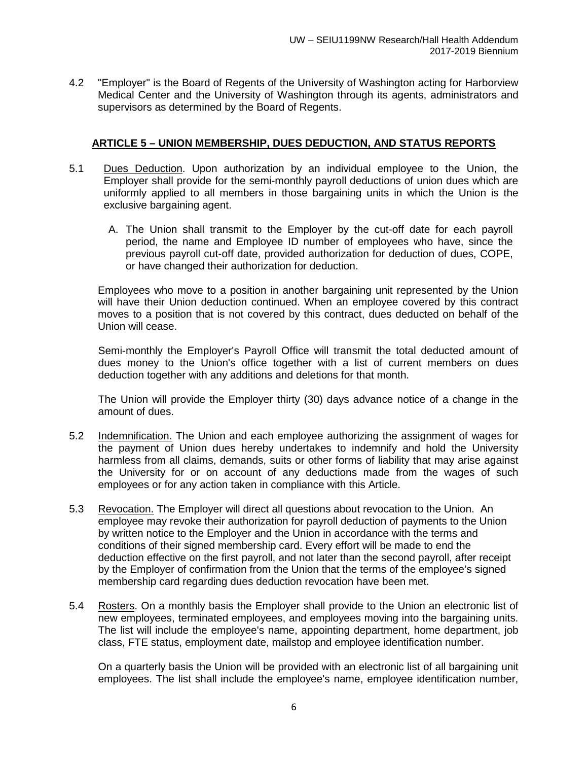4.2 "Employer" is the Board of Regents of the University of Washington acting for Harborview Medical Center and the University of Washington through its agents, administrators and supervisors as determined by the Board of Regents.

## **ARTICLE 5 – UNION MEMBERSHIP, DUES DEDUCTION, AND STATUS REPORTS**

- 5.1 Dues Deduction. Upon authorization by an individual employee to the Union, the Employer shall provide for the semi-monthly payroll deductions of union dues which are uniformly applied to all members in those bargaining units in which the Union is the exclusive bargaining agent.
	- A. The Union shall transmit to the Employer by the cut-off date for each payroll period, the name and Employee ID number of employees who have, since the previous payroll cut-off date, provided authorization for deduction of dues, COPE, or have changed their authorization for deduction.

Employees who move to a position in another bargaining unit represented by the Union will have their Union deduction continued. When an employee covered by this contract moves to a position that is not covered by this contract, dues deducted on behalf of the Union will cease.

Semi-monthly the Employer's Payroll Office will transmit the total deducted amount of dues money to the Union's office together with a list of current members on dues deduction together with any additions and deletions for that month.

The Union will provide the Employer thirty (30) days advance notice of a change in the amount of dues.

- 5.2 Indemnification. The Union and each employee authorizing the assignment of wages for the payment of Union dues hereby undertakes to indemnify and hold the University harmless from all claims, demands, suits or other forms of liability that may arise against the University for or on account of any deductions made from the wages of such employees or for any action taken in compliance with this Article.
- 5.3 Revocation. The Employer will direct all questions about revocation to the Union. An employee may revoke their authorization for payroll deduction of payments to the Union by written notice to the Employer and the Union in accordance with the terms and conditions of their signed membership card. Every effort will be made to end the deduction effective on the first payroll, and not later than the second payroll, after receipt by the Employer of confirmation from the Union that the terms of the employee's signed membership card regarding dues deduction revocation have been met.
- 5.4 Rosters. On a monthly basis the Employer shall provide to the Union an electronic list of new employees, terminated employees, and employees moving into the bargaining units. The list will include the employee's name, appointing department, home department, job class, FTE status, employment date, mailstop and employee identification number.

On a quarterly basis the Union will be provided with an electronic list of all bargaining unit employees. The list shall include the employee's name, employee identification number,